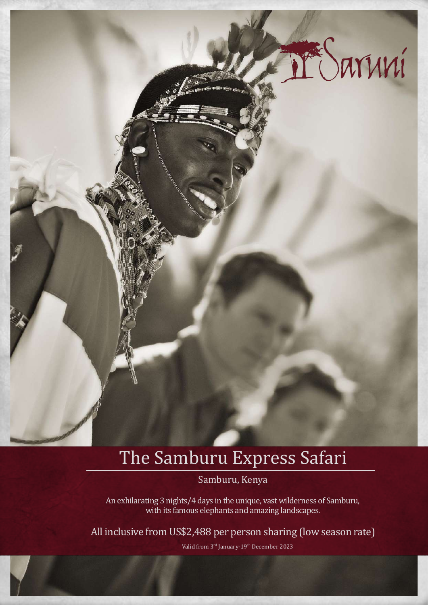

# The Samburu Express Safari

Samburu, Kenya

An exhilarating 3 nights/4 days in the unique, vast wilderness of Samburu, with its famous elephants and amazing landscapes.

All inclusive from US\$2,488 per person sharing (low season rate)

Valid from 3<sup>rd</sup> January-19<sup>th</sup> December 2023

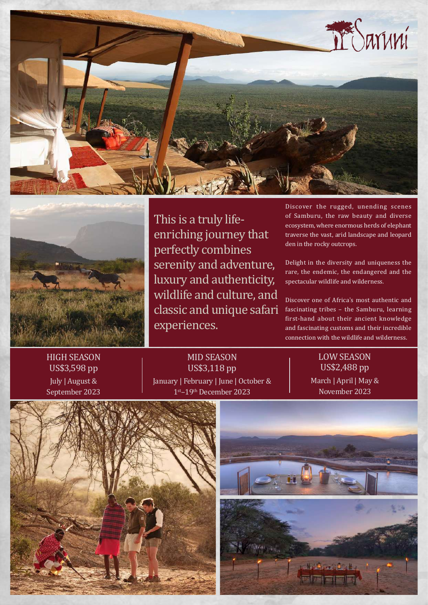



This is a truly lifeenriching journey that perfectly combines serenity and adventure, luxury and authenticity, wildlife and culture, and classic and unique safari experiences.

Discover the rugged, unending scenes of Samburu, the raw beauty and diverse ecosystem, where enormous herds of elephant traverse the vast, arid landscape and leopard den in the rocky outcrops.

Delight in the diversity and uniqueness the rare, the endemic, the endangered and the spectacular wildlife and wilderness.

Discover one of Africa's most authentic and fascinating tribes – the Samburu, learning first-hand about their ancient knowledge and fascinating customs and their incredible connection with the wildlife and wilderness.

# HIGH SEASON US\$3,598 pp

July | August & September 2023

### MID SEASON US\$3,118 pp January | February | June | October & 1st–19th December 2023

# LOW SEASON US\$2,488 pp March | April | May & November 2023



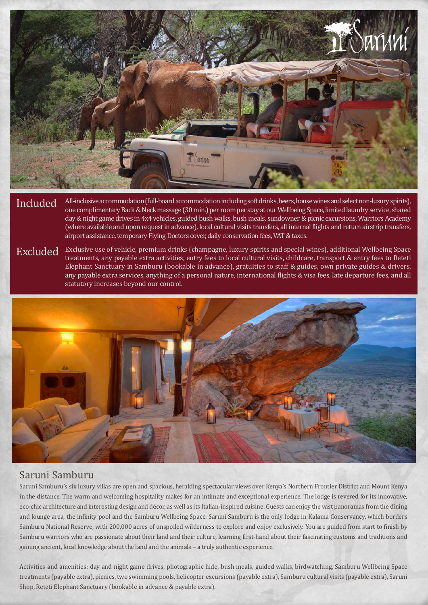

Included All-inclusive accommodation (full-board accommodation including soft drinks, beers, house wines and select non-luxury spirits),<br>one complimentary Back & Neck massage (30 min.) per room per stay at our Wellbeing Sp day & night game drives in 4x4 vehicles, guided bush walks, bush meals, sundowner & picnic excursions, Warriors Academy (where available and upon request in advance), local cultural visits transfers, all internal flights and return airstrip transfers, airport assistance, temporary Flying Doctors cover, daily conservation fees, VAT & taxes.

Excluded Exclusive use of vehicle, premium drinks (champagne, luxury spirits and special wines), additional Wellbeing Space<br>treatments, any payable extra activities, entry fees to local cultural visits, childcare, transpor Elephant Sanctuary in Samburu (bookable in advance), gratuities to staff & guides, own private guides & drivers, any payable extra services, anything of a personal nature, international flights & visa fees, late departure fees, and all statutory increases beyond our control.



# Saruni Samburu

Saruni Samburu's six luxury villas are open and spacious, heralding spectacular views over Kenya's Northern Frontier District and Mount Kenya in the distance. The warm and welcoming hospitality makes for an intimate and exceptional experience. The lodge is revered for its innovative, eco-chic architecture and interesting design and décor, as well as its Italian-inspired cuisine. Guests can enjoy the vast panoramas from the dining and lounge area, the infinity pool and the Samburu Wellbeing Space. Saruni Samburu is the only lodge in Kalama Conservancy, which borders Samburu National Reserve, with 200,000 acres of unspoiled wilderness to explore and enjoy exclusively. You are guided from start to finish by Samburu warriors who are passionate about their land and their culture, learning first-hand about their fascinating customs and traditions and gaining ancient, local knowledge about the land and the animals – a truly authentic experience.

Activities and amenities: day and night game drives, photographic hide, bush meals, guided walks, birdwatching, Samburu Wellbeing Space treatments (payable extra), picnics, two swimming pools, helicopter excursions (payable extra), Samburu cultural visits (payable extra), Saruni Shop, Reteti Elephant Sanctuary (bookable in advance & payable extra).